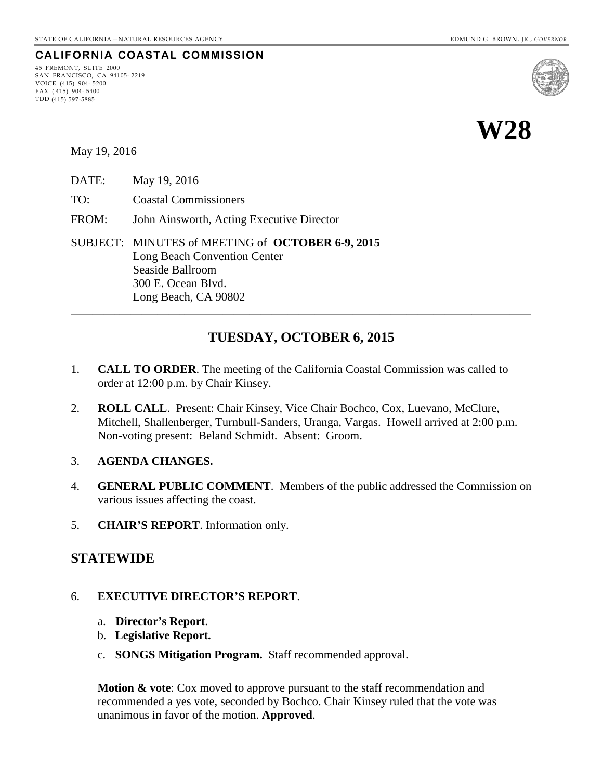## **CALIFORNIA COASTAL COMMISSION**

45 FREMONT, SUITE 2000 SAN FRANCISCO, CA 94105- 2219 VOICE (415) 904- 5200  $FAX (415) 904 - 5400$ TDD (415) 597-5885





May 19, 2016

- DATE: May 19, 2016
- TO: Coastal Commissioners
- FROM: John Ainsworth, Acting Executive Director

SUBJECT: MINUTES of MEETING of **OCTOBER 6-9, 2015** Long Beach Convention Center Seaside Ballroom 300 E. Ocean Blvd. Long Beach, CA 90802

## **TUESDAY, OCTOBER 6, 2015**

\_\_\_\_\_\_\_\_\_\_\_\_\_\_\_\_\_\_\_\_\_\_\_\_\_\_\_\_\_\_\_\_\_\_\_\_\_\_\_\_\_\_\_\_\_\_\_\_\_\_\_\_\_\_\_\_\_\_\_\_\_\_\_\_\_\_\_\_\_\_\_\_\_\_\_\_\_\_\_\_\_\_\_\_\_

- 1. **CALL TO ORDER**. The meeting of the California Coastal Commission was called to order at 12:00 p.m. by Chair Kinsey.
- 2. **ROLL CALL**. Present: Chair Kinsey, Vice Chair Bochco, Cox, Luevano, McClure, Mitchell, Shallenberger, Turnbull-Sanders, Uranga, Vargas. Howell arrived at 2:00 p.m. Non-voting present: Beland Schmidt. Absent: Groom.
- 3. **AGENDA CHANGES.**
- 4. **GENERAL PUBLIC COMMENT**. Members of the public addressed the Commission on various issues affecting the coast.
- 5. **CHAIR'S REPORT**. Information only.

#### **STATEWIDE**

#### 6. **EXECUTIVE DIRECTOR'S REPORT**.

- a. **Director's Report**.
- b. **Legislative Report.**
- c. **SONGS Mitigation Program.** Staff recommended approval.

**Motion & vote:** Cox moved to approve pursuant to the staff recommendation and recommended a yes vote, seconded by Bochco. Chair Kinsey ruled that the vote was unanimous in favor of the motion. **Approved**.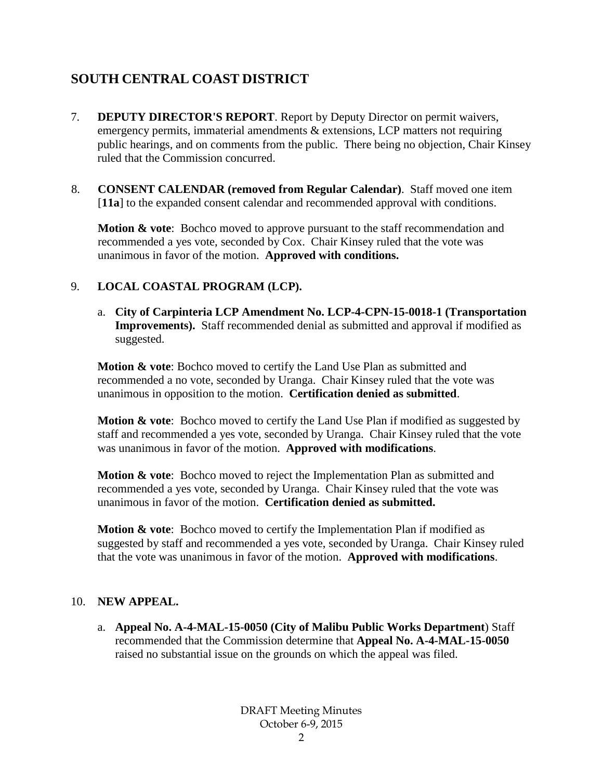# **SOUTH CENTRAL COAST DISTRICT**

- 7. **DEPUTY DIRECTOR'S REPORT**. Report by Deputy Director on permit waivers, emergency permits, immaterial amendments & extensions, LCP matters not requiring public hearings, and on comments from the public. There being no objection, Chair Kinsey ruled that the Commission concurred.
- 8. **CONSENT CALENDAR (removed from Regular Calendar)**. Staff moved one item [**11a**] to the expanded consent calendar and recommended approval with conditions.

**Motion & vote:** Bochco moved to approve pursuant to the staff recommendation and recommended a yes vote, seconded by Cox. Chair Kinsey ruled that the vote was unanimous in favor of the motion. **Approved with conditions.**

### 9. **LOCAL COASTAL PROGRAM (LCP).**

a. **City of Carpinteria LCP Amendment No. LCP-4-CPN-15-0018-1 (Transportation Improvements).** Staff recommended denial as submitted and approval if modified as suggested.

**Motion & vote**: Bochco moved to certify the Land Use Plan as submitted and recommended a no vote, seconded by Uranga. Chair Kinsey ruled that the vote was unanimous in opposition to the motion. **Certification denied as submitted**.

**Motion & vote**: Bochco moved to certify the Land Use Plan if modified as suggested by staff and recommended a yes vote, seconded by Uranga. Chair Kinsey ruled that the vote was unanimous in favor of the motion. **Approved with modifications**.

**Motion & vote:** Bochco moved to reject the Implementation Plan as submitted and recommended a yes vote, seconded by Uranga. Chair Kinsey ruled that the vote was unanimous in favor of the motion. **Certification denied as submitted.**

**Motion & vote:** Bochco moved to certify the Implementation Plan if modified as suggested by staff and recommended a yes vote, seconded by Uranga. Chair Kinsey ruled that the vote was unanimous in favor of the motion. **Approved with modifications**.

#### 10. **NEW APPEAL.**

a. **Appeal No. A-4-MAL-15-0050 (City of Malibu Public Works Department**) Staff recommended that the Commission determine that **Appeal No. A-4-MAL-15-0050** raised no substantial issue on the grounds on which the appeal was filed.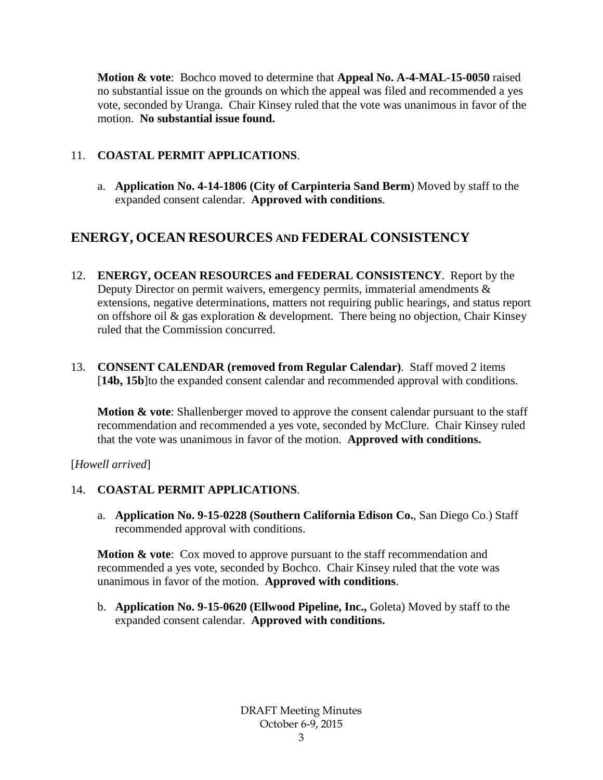**Motion & vote**: Bochco moved to determine that **Appeal No. A-4-MAL-15-0050** raised no substantial issue on the grounds on which the appeal was filed and recommended a yes vote, seconded by Uranga. Chair Kinsey ruled that the vote was unanimous in favor of the motion. **No substantial issue found.**

### 11. **COASTAL PERMIT APPLICATIONS**.

a. **Application No. 4-14-1806 (City of Carpinteria Sand Berm**) Moved by staff to the expanded consent calendar. **Approved with conditions**.

## **ENERGY, OCEAN RESOURCES AND FEDERAL CONSISTENCY**

- 12. **ENERGY, OCEAN RESOURCES and FEDERAL CONSISTENCY**. Report by the Deputy Director on permit waivers, emergency permits, immaterial amendments  $\&$ extensions, negative determinations, matters not requiring public hearings, and status report on offshore oil  $\&$  gas exploration  $\&$  development. There being no objection, Chair Kinsey ruled that the Commission concurred.
- 13. **CONSENT CALENDAR (removed from Regular Calendar)**. Staff moved 2 items [14b, 15b]to the expanded consent calendar and recommended approval with conditions.

**Motion & vote**: Shallenberger moved to approve the consent calendar pursuant to the staff recommendation and recommended a yes vote, seconded by McClure. Chair Kinsey ruled that the vote was unanimous in favor of the motion. **Approved with conditions.**

[*Howell arrived*]

#### 14. **COASTAL PERMIT APPLICATIONS**.

a. **Application No. 9-15-0228 (Southern California Edison Co.**, San Diego Co.) Staff recommended approval with conditions.

**Motion & vote:** Cox moved to approve pursuant to the staff recommendation and recommended a yes vote, seconded by Bochco. Chair Kinsey ruled that the vote was unanimous in favor of the motion. **Approved with conditions**.

b. **Application No. 9-15-0620 (Ellwood Pipeline, Inc.,** Goleta) Moved by staff to the expanded consent calendar. **Approved with conditions.**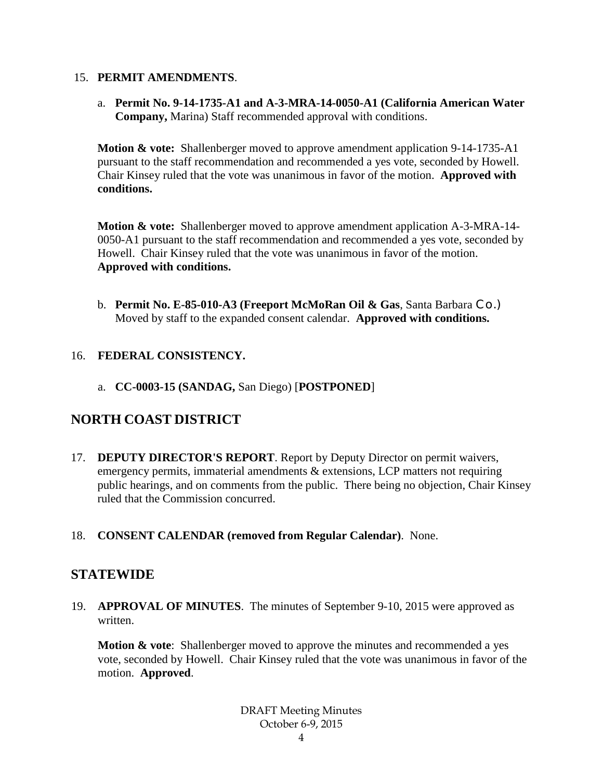#### 15. **PERMIT AMENDMENTS**.

a. **Permit No. 9-14-1735-A1 and A-3-MRA-14-0050-A1 (California American Water Company,** Marina) Staff recommended approval with conditions.

**Motion & vote:** Shallenberger moved to approve amendment application 9-14-1735-A1 pursuant to the staff recommendation and recommended a yes vote, seconded by Howell. Chair Kinsey ruled that the vote was unanimous in favor of the motion. **Approved with conditions.**

**Motion & vote:** Shallenberger moved to approve amendment application A-3-MRA-14- 0050-A1 pursuant to the staff recommendation and recommended a yes vote, seconded by Howell. Chair Kinsey ruled that the vote was unanimous in favor of the motion. **Approved with conditions.**

b. **Permit No. E-85-010-A3 (Freeport McMoRan Oil & Gas**, Santa Barbara Co.) Moved by staff to the expanded consent calendar. **Approved with conditions.**

### 16. **FEDERAL CONSISTENCY.**

a. **CC-0003-15 (SANDAG,** San Diego) [**POSTPONED**]

## **NORTH COAST DISTRICT**

- 17. **DEPUTY DIRECTOR'S REPORT**. Report by Deputy Director on permit waivers, emergency permits, immaterial amendments & extensions, LCP matters not requiring public hearings, and on comments from the public. There being no objection, Chair Kinsey ruled that the Commission concurred.
- 18. **CONSENT CALENDAR (removed from Regular Calendar)**. None.

## **STATEWIDE**

19. **APPROVAL OF MINUTES**. The minutes of September 9-10, 2015 were approved as written.

**Motion & vote**: Shallenberger moved to approve the minutes and recommended a yes vote, seconded by Howell. Chair Kinsey ruled that the vote was unanimous in favor of the motion. **Approved**.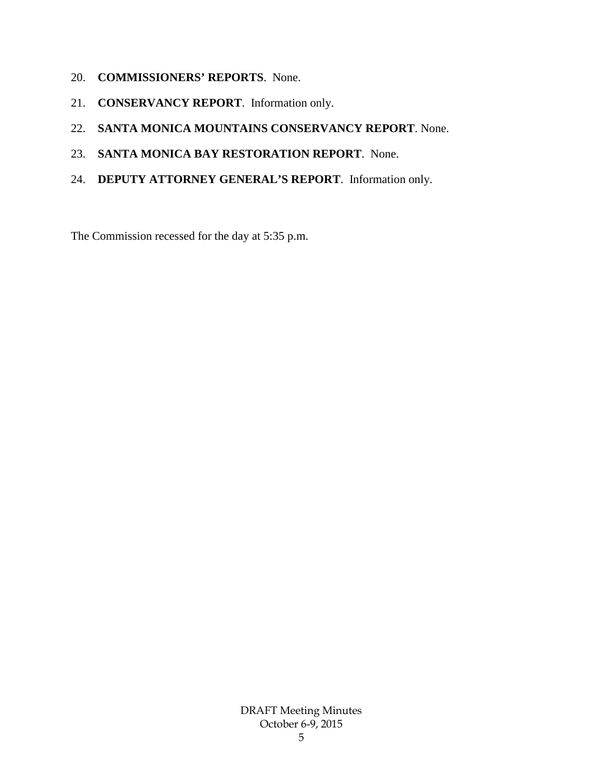- 20. **COMMISSIONERS' REPORTS**. None.
- 21. **CONSERVANCY REPORT**. Information only.
- 22. **SANTA MONICA MOUNTAINS CONSERVANCY REPORT**. None.
- 23. **SANTA MONICA BAY RESTORATION REPORT**. None.
- 24. **DEPUTY ATTORNEY GENERAL'S REPORT**. Information only.

The Commission recessed for the day at 5:35 p.m.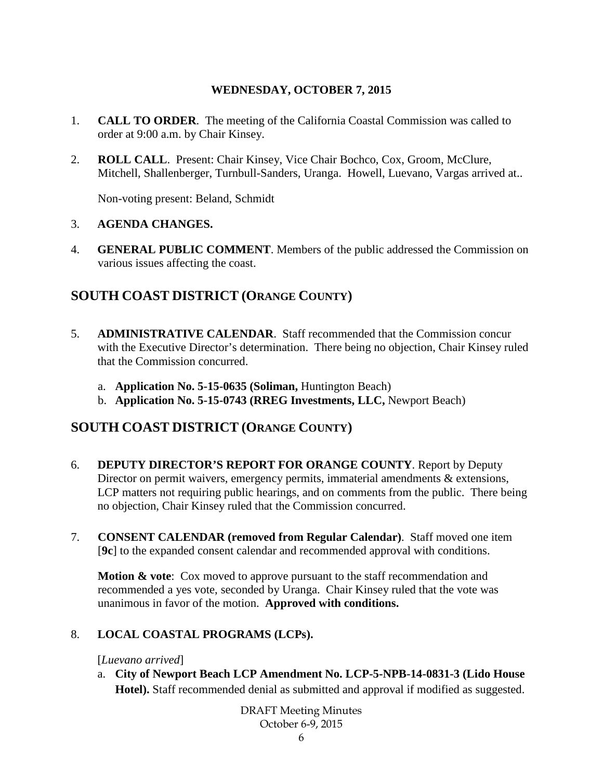### **WEDNESDAY, OCTOBER 7, 2015**

- 1. **CALL TO ORDER**. The meeting of the California Coastal Commission was called to order at 9:00 a.m. by Chair Kinsey.
- 2. **ROLL CALL**. Present: Chair Kinsey, Vice Chair Bochco, Cox, Groom, McClure, Mitchell, Shallenberger, Turnbull-Sanders, Uranga. Howell, Luevano, Vargas arrived at..

Non-voting present: Beland, Schmidt

#### 3. **AGENDA CHANGES.**

4. **GENERAL PUBLIC COMMENT**. Members of the public addressed the Commission on various issues affecting the coast.

## **SOUTH COAST DISTRICT (ORANGE COUNTY)**

- 5. **ADMINISTRATIVE CALENDAR**. Staff recommended that the Commission concur with the Executive Director's determination. There being no objection, Chair Kinsey ruled that the Commission concurred.
	- a. **Application No. 5-15-0635 (Soliman,** Huntington Beach)
	- b. **Application No. 5-15-0743 (RREG Investments, LLC,** Newport Beach)

## **SOUTH COAST DISTRICT (ORANGE COUNTY)**

- 6. **DEPUTY DIRECTOR'S REPORT FOR ORANGE COUNTY**. Report by Deputy Director on permit waivers, emergency permits, immaterial amendments & extensions, LCP matters not requiring public hearings, and on comments from the public. There being no objection, Chair Kinsey ruled that the Commission concurred.
- 7. **CONSENT CALENDAR (removed from Regular Calendar)**. Staff moved one item [**9c**] to the expanded consent calendar and recommended approval with conditions.

**Motion & vote:** Cox moved to approve pursuant to the staff recommendation and recommended a yes vote, seconded by Uranga. Chair Kinsey ruled that the vote was unanimous in favor of the motion. **Approved with conditions.**

#### 8. **LOCAL COASTAL PROGRAMS (LCPs).**

[*Luevano arrived*]

a. **City of Newport Beach LCP Amendment No. LCP-5-NPB-14-0831-3 (Lido House Hotel).** Staff recommended denial as submitted and approval if modified as suggested.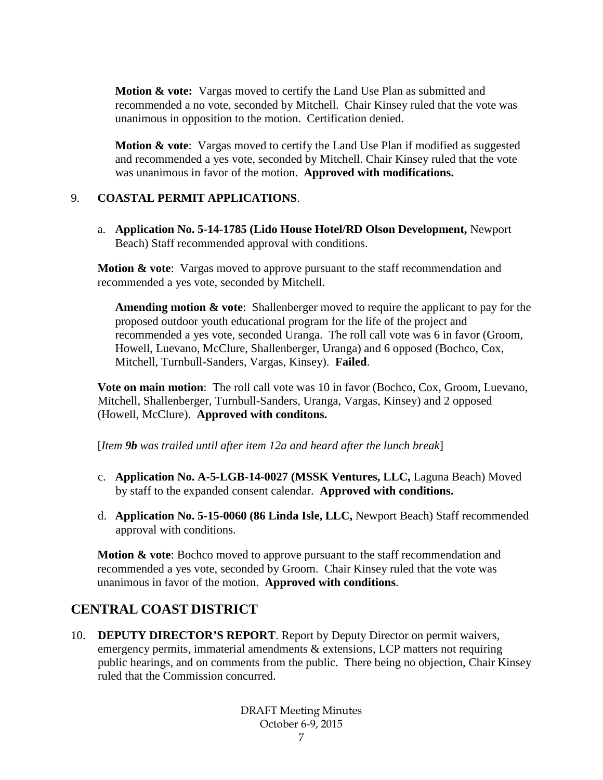**Motion & vote:** Vargas moved to certify the Land Use Plan as submitted and recommended a no vote, seconded by Mitchell. Chair Kinsey ruled that the vote was unanimous in opposition to the motion. Certification denied.

**Motion & vote**: Vargas moved to certify the Land Use Plan if modified as suggested and recommended a yes vote, seconded by Mitchell. Chair Kinsey ruled that the vote was unanimous in favor of the motion. **Approved with modifications.**

#### 9. **COASTAL PERMIT APPLICATIONS**.

a. **Application No. 5-14-1785 (Lido House Hotel/RD Olson Development,** Newport Beach) Staff recommended approval with conditions.

**Motion & vote:** Vargas moved to approve pursuant to the staff recommendation and recommended a yes vote, seconded by Mitchell.

**Amending motion & vote**: Shallenberger moved to require the applicant to pay for the proposed outdoor youth educational program for the life of the project and recommended a yes vote, seconded Uranga. The roll call vote was 6 in favor (Groom, Howell, Luevano, McClure, Shallenberger, Uranga) and 6 opposed (Bochco, Cox, Mitchell, Turnbull-Sanders, Vargas, Kinsey). **Failed**.

**Vote on main motion**: The roll call vote was 10 in favor (Bochco, Cox, Groom, Luevano, Mitchell, Shallenberger, Turnbull-Sanders, Uranga, Vargas, Kinsey) and 2 opposed (Howell, McClure). **Approved with conditons.**

[*Item 9b was trailed until after item 12a and heard after the lunch break*]

- c. **Application No. A-5-LGB-14-0027 (MSSK Ventures, LLC,** Laguna Beach) Moved by staff to the expanded consent calendar. **Approved with conditions.**
- d. **Application No. 5-15-0060 (86 Linda Isle, LLC,** Newport Beach) Staff recommended approval with conditions.

**Motion & vote**: Bochco moved to approve pursuant to the staff recommendation and recommended a yes vote, seconded by Groom. Chair Kinsey ruled that the vote was unanimous in favor of the motion. **Approved with conditions**.

## **CENTRAL COAST DISTRICT**

10. **DEPUTY DIRECTOR'S REPORT**. Report by Deputy Director on permit waivers, emergency permits, immaterial amendments & extensions, LCP matters not requiring public hearings, and on comments from the public. There being no objection, Chair Kinsey ruled that the Commission concurred.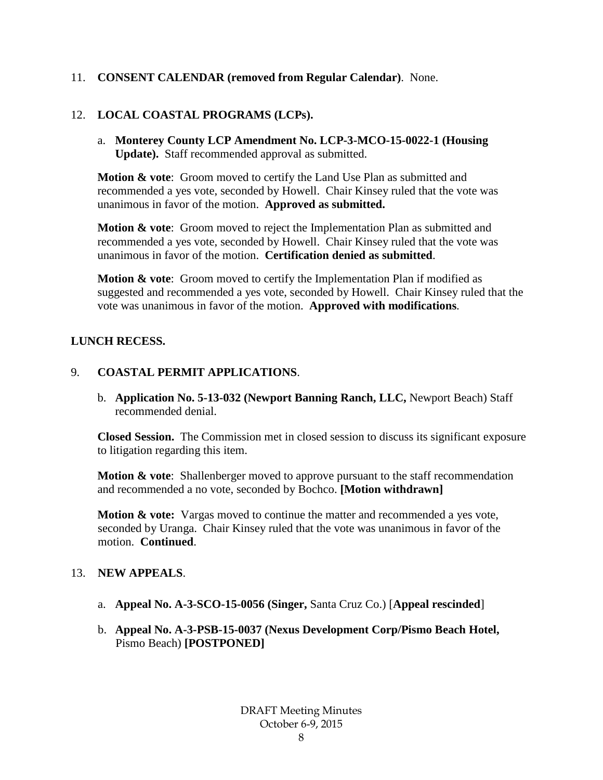#### 11. **CONSENT CALENDAR (removed from Regular Calendar)**. None.

#### 12. **LOCAL COASTAL PROGRAMS (LCPs).**

a. **Monterey County LCP Amendment No. LCP-3-MCO-15-0022-1 (Housing Update).** Staff recommended approval as submitted.

**Motion & vote**: Groom moved to certify the Land Use Plan as submitted and recommended a yes vote, seconded by Howell. Chair Kinsey ruled that the vote was unanimous in favor of the motion. **Approved as submitted.**

**Motion & vote**: Groom moved to reject the Implementation Plan as submitted and recommended a yes vote, seconded by Howell. Chair Kinsey ruled that the vote was unanimous in favor of the motion. **Certification denied as submitted**.

**Motion & vote:** Groom moved to certify the Implementation Plan if modified as suggested and recommended a yes vote, seconded by Howell. Chair Kinsey ruled that the vote was unanimous in favor of the motion. **Approved with modifications**.

#### **LUNCH RECESS.**

#### 9. **COASTAL PERMIT APPLICATIONS**.

b. **Application No. 5-13-032 (Newport Banning Ranch, LLC,** Newport Beach) Staff recommended denial.

**Closed Session.** The Commission met in closed session to discuss its significant exposure to litigation regarding this item.

**Motion & vote**: Shallenberger moved to approve pursuant to the staff recommendation and recommended a no vote, seconded by Bochco. **[Motion withdrawn]**

**Motion & vote:** Vargas moved to continue the matter and recommended a yes vote, seconded by Uranga. Chair Kinsey ruled that the vote was unanimous in favor of the motion. **Continued**.

#### 13. **NEW APPEALS**.

- a. **Appeal No. A-3-SCO-15-0056 (Singer,** Santa Cruz Co.) [**Appeal rescinded**]
- b. **Appeal No. A-3-PSB-15-0037 (Nexus Development Corp/Pismo Beach Hotel,**  Pismo Beach) **[POSTPONED]**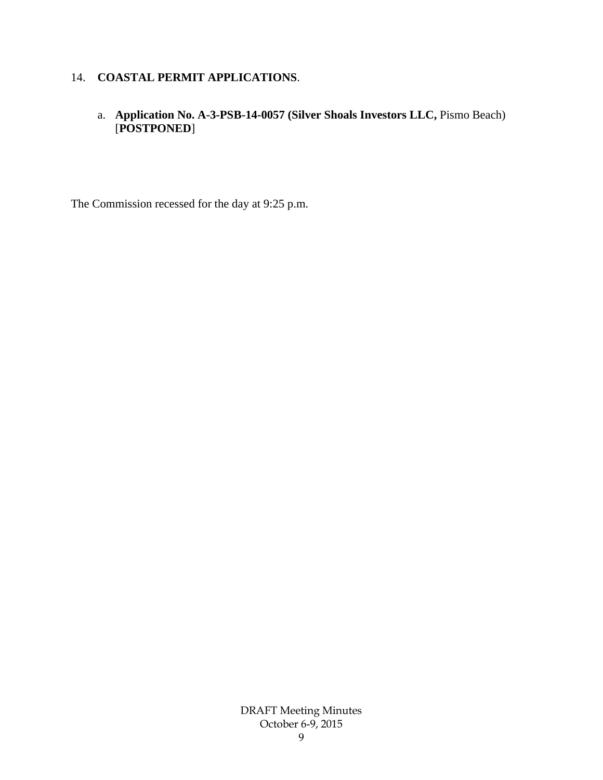## 14. **COASTAL PERMIT APPLICATIONS**.

### a. **Application No. A-3-PSB-14-0057 (Silver Shoals Investors LLC,** Pismo Beach) [**POSTPONED**]

The Commission recessed for the day at 9:25 p.m.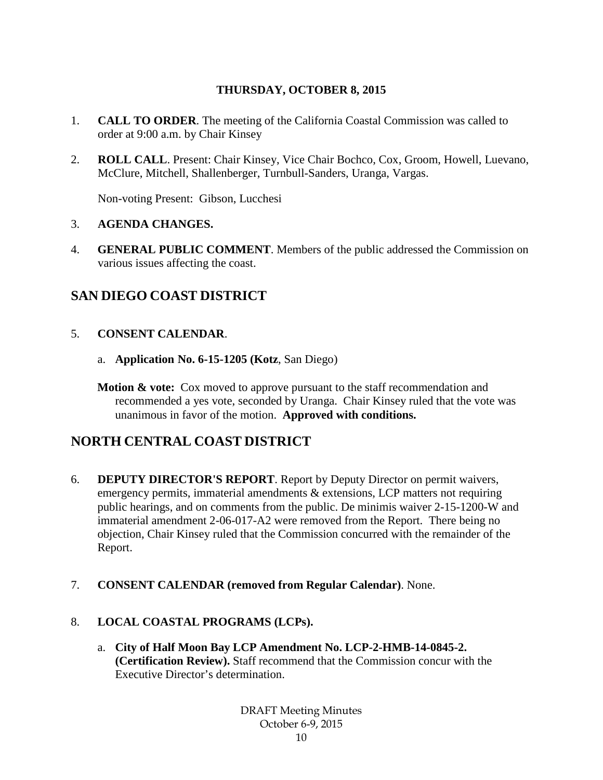## **THURSDAY, OCTOBER 8, 2015**

- 1. **CALL TO ORDER**. The meeting of the California Coastal Commission was called to order at 9:00 a.m. by Chair Kinsey
- 2. **ROLL CALL**. Present: Chair Kinsey, Vice Chair Bochco, Cox, Groom, Howell, Luevano, McClure, Mitchell, Shallenberger, Turnbull-Sanders, Uranga, Vargas.

Non-voting Present: Gibson, Lucchesi

#### 3. **AGENDA CHANGES.**

4. **GENERAL PUBLIC COMMENT**. Members of the public addressed the Commission on various issues affecting the coast.

## **SAN DIEGO COAST DISTRICT**

- 5. **CONSENT CALENDAR**.
	- a. **Application No. 6-15-1205 (Kotz**, San Diego)
	- **Motion & vote:** Cox moved to approve pursuant to the staff recommendation and recommended a yes vote, seconded by Uranga. Chair Kinsey ruled that the vote was unanimous in favor of the motion. **Approved with conditions.**

## **NORTH CENTRAL COAST DISTRICT**

- 6. **DEPUTY DIRECTOR'S REPORT**. Report by Deputy Director on permit waivers, emergency permits, immaterial amendments & extensions, LCP matters not requiring public hearings, and on comments from the public. De minimis waiver 2-15-1200-W and immaterial amendment 2-06-017-A2 were removed from the Report. There being no objection, Chair Kinsey ruled that the Commission concurred with the remainder of the Report.
- 7. **CONSENT CALENDAR (removed from Regular Calendar)**. None.

#### 8. **LOCAL COASTAL PROGRAMS (LCPs).**

a. **City of Half Moon Bay LCP Amendment No. LCP-2-HMB-14-0845-2. (Certification Review).** Staff recommend that the Commission concur with the Executive Director's determination.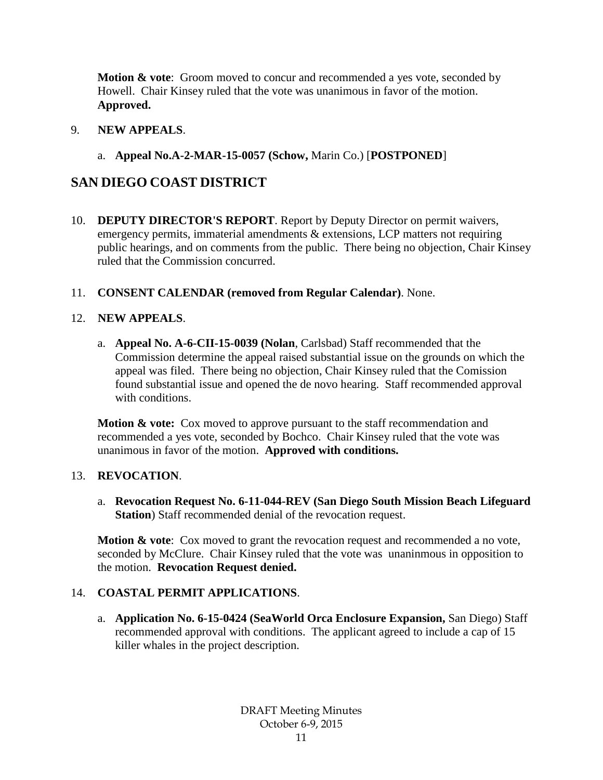**Motion & vote**: Groom moved to concur and recommended a yes vote, seconded by Howell. Chair Kinsey ruled that the vote was unanimous in favor of the motion. **Approved.**

#### 9. **NEW APPEALS**.

## a. **Appeal No.A-2-MAR-15-0057 (Schow,** Marin Co.) [**POSTPONED**]

## **SAN DIEGO COAST DISTRICT**

- 10. **DEPUTY DIRECTOR'S REPORT**. Report by Deputy Director on permit waivers, emergency permits, immaterial amendments & extensions, LCP matters not requiring public hearings, and on comments from the public. There being no objection, Chair Kinsey ruled that the Commission concurred.
- 11. **CONSENT CALENDAR (removed from Regular Calendar)**. None.

### 12. **NEW APPEALS**.

a. **Appeal No. A-6-CII-15-0039 (Nolan**, Carlsbad) Staff recommended that the Commission determine the appeal raised substantial issue on the grounds on which the appeal was filed. There being no objection, Chair Kinsey ruled that the Comission found substantial issue and opened the de novo hearing. Staff recommended approval with conditions.

**Motion & vote:** Cox moved to approve pursuant to the staff recommendation and recommended a yes vote, seconded by Bochco. Chair Kinsey ruled that the vote was unanimous in favor of the motion. **Approved with conditions.** 

## 13. **REVOCATION**.

a. **Revocation Request No. 6-11-044-REV (San Diego South Mission Beach Lifeguard Station**) Staff recommended denial of the revocation request.

**Motion & vote:** Cox moved to grant the revocation request and recommended a no vote, seconded by McClure. Chair Kinsey ruled that the vote was unaninmous in opposition to the motion. **Revocation Request denied.**

## 14. **COASTAL PERMIT APPLICATIONS**.

a. **Application No. 6-15-0424 (SeaWorld Orca Enclosure Expansion,** San Diego) Staff recommended approval with conditions. The applicant agreed to include a cap of 15 killer whales in the project description.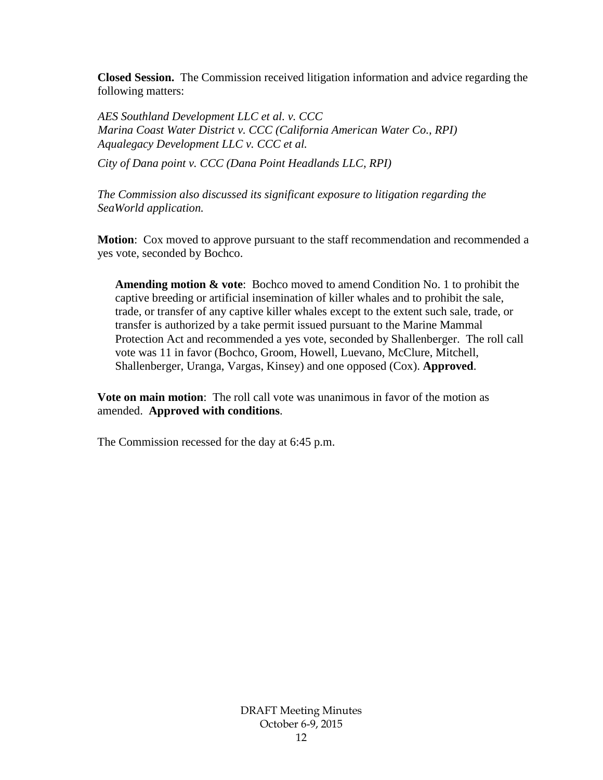**Closed Session.** The Commission received litigation information and advice regarding the following matters:

*AES Southland Development LLC et al. v. CCC Marina Coast Water District v. CCC (California American Water Co., RPI) Aqualegacy Development LLC v. CCC et al.*

*City of Dana point v. CCC (Dana Point Headlands LLC, RPI)* 

*The Commission also discussed its significant exposure to litigation regarding the SeaWorld application.* 

**Motion**: Cox moved to approve pursuant to the staff recommendation and recommended a yes vote, seconded by Bochco.

**Amending motion & vote**: Bochco moved to amend Condition No. 1 to prohibit the captive breeding or artificial insemination of killer whales and to prohibit the sale, trade, or transfer of any captive killer whales except to the extent such sale, trade, or transfer is authorized by a take permit issued pursuant to the Marine Mammal Protection Act and recommended a yes vote, seconded by Shallenberger. The roll call vote was 11 in favor (Bochco, Groom, Howell, Luevano, McClure, Mitchell, Shallenberger, Uranga, Vargas, Kinsey) and one opposed (Cox). **Approved**.

**Vote on main motion**: The roll call vote was unanimous in favor of the motion as amended. **Approved with conditions**.

The Commission recessed for the day at 6:45 p.m.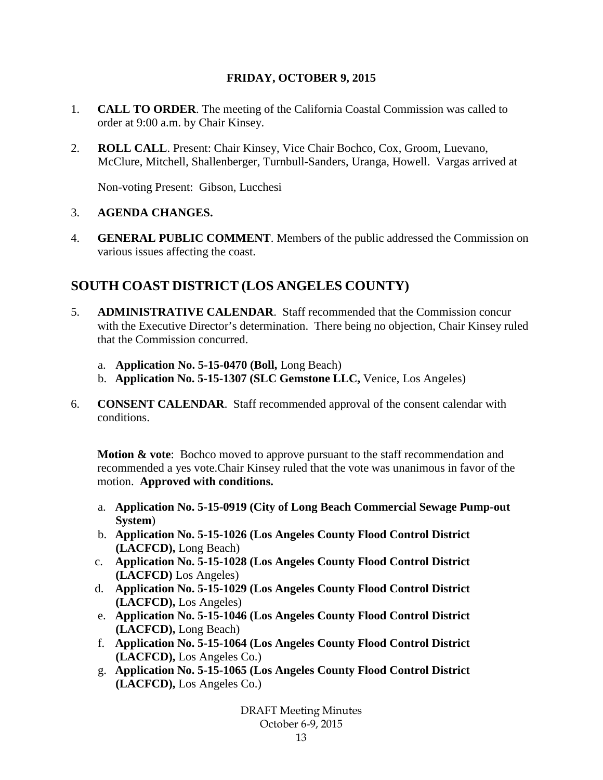### **FRIDAY, OCTOBER 9, 2015**

- 1. **CALL TO ORDER**. The meeting of the California Coastal Commission was called to order at 9:00 a.m. by Chair Kinsey.
- 2. **ROLL CALL**. Present: Chair Kinsey, Vice Chair Bochco, Cox, Groom, Luevano, McClure, Mitchell, Shallenberger, Turnbull-Sanders, Uranga, Howell. Vargas arrived at

Non-voting Present: Gibson, Lucchesi

### 3. **AGENDA CHANGES.**

4. **GENERAL PUBLIC COMMENT**. Members of the public addressed the Commission on various issues affecting the coast.

## **SOUTH COAST DISTRICT (LOS ANGELES COUNTY)**

- 5. **ADMINISTRATIVE CALENDAR**. Staff recommended that the Commission concur with the Executive Director's determination. There being no objection, Chair Kinsey ruled that the Commission concurred.
	- a. **Application No. 5-15-0470 (Boll,** Long Beach)
	- b. **Application No. 5-15-1307 (SLC Gemstone LLC,** Venice, Los Angeles)
- 6. **CONSENT CALENDAR**. Staff recommended approval of the consent calendar with conditions.

**Motion & vote:** Bochco moved to approve pursuant to the staff recommendation and recommended a yes vote.Chair Kinsey ruled that the vote was unanimous in favor of the motion. **Approved with conditions.**

- a. **Application No. 5-15-0919 (City of Long Beach Commercial Sewage Pump-out System**)
- b. **Application No. 5-15-1026 (Los Angeles County Flood Control District (LACFCD),** Long Beach)
- c. **Application No. 5-15-1028 (Los Angeles County Flood Control District (LACFCD)** Los Angeles)
- d. **Application No. 5-15-1029 (Los Angeles County Flood Control District (LACFCD),** Los Angeles)
- e. **Application No. 5-15-1046 (Los Angeles County Flood Control District (LACFCD),** Long Beach)
- f. **Application No. 5-15-1064 (Los Angeles County Flood Control District (LACFCD),** Los Angeles Co.)
- g. **Application No. 5-15-1065 (Los Angeles County Flood Control District (LACFCD),** Los Angeles Co.)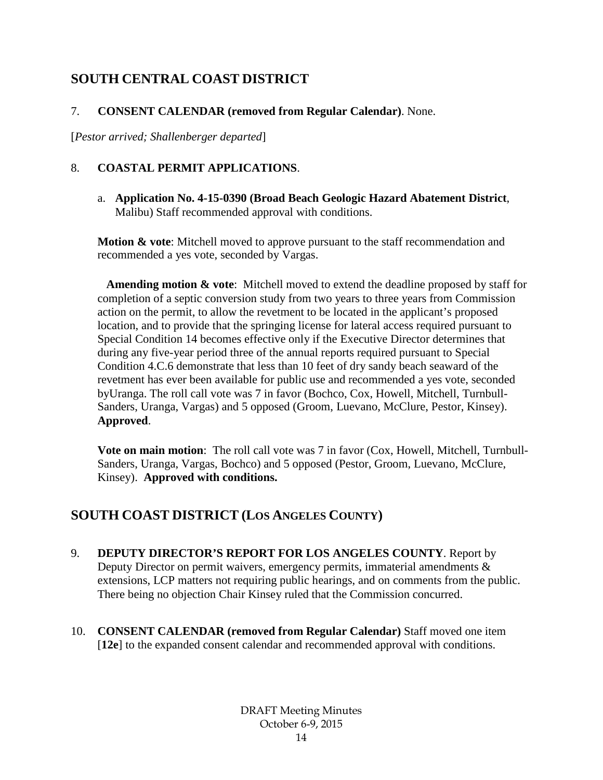# **SOUTH CENTRAL COAST DISTRICT**

## 7. **CONSENT CALENDAR (removed from Regular Calendar)**. None.

[*Pestor arrived; Shallenberger departed*]

## 8. **COASTAL PERMIT APPLICATIONS**.

a. **Application No. 4-15-0390 (Broad Beach Geologic Hazard Abatement District**, Malibu) Staff recommended approval with conditions.

**Motion & vote**: Mitchell moved to approve pursuant to the staff recommendation and recommended a yes vote, seconded by Vargas.

**Amending motion & vote**: Mitchell moved to extend the deadline proposed by staff for completion of a septic conversion study from two years to three years from Commission action on the permit, to allow the revetment to be located in the applicant's proposed location, and to provide that the springing license for lateral access required pursuant to Special Condition 14 becomes effective only if the Executive Director determines that during any five-year period three of the annual reports required pursuant to Special Condition 4.C.6 demonstrate that less than 10 feet of dry sandy beach seaward of the revetment has ever been available for public use and recommended a yes vote, seconded byUranga. The roll call vote was 7 in favor (Bochco, Cox, Howell, Mitchell, Turnbull-Sanders, Uranga, Vargas) and 5 opposed (Groom, Luevano, McClure, Pestor, Kinsey). **Approved**.

**Vote on main motion**: The roll call vote was 7 in favor (Cox, Howell, Mitchell, Turnbull-Sanders, Uranga, Vargas, Bochco) and 5 opposed (Pestor, Groom, Luevano, McClure, Kinsey). **Approved with conditions.**

# **SOUTH COAST DISTRICT (LOS ANGELES COUNTY)**

- 9. **DEPUTY DIRECTOR'S REPORT FOR LOS ANGELES COUNTY**. Report by Deputy Director on permit waivers, emergency permits, immaterial amendments & extensions, LCP matters not requiring public hearings, and on comments from the public. There being no objection Chair Kinsey ruled that the Commission concurred.
- 10. **CONSENT CALENDAR (removed from Regular Calendar)** Staff moved one item [**12e**] to the expanded consent calendar and recommended approval with conditions.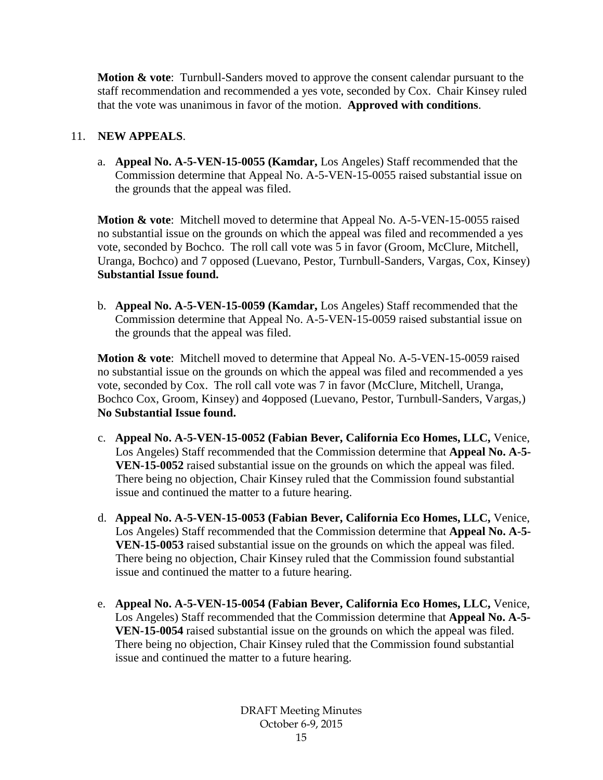**Motion & vote**: Turnbull-Sanders moved to approve the consent calendar pursuant to the staff recommendation and recommended a yes vote, seconded by Cox. Chair Kinsey ruled that the vote was unanimous in favor of the motion. **Approved with conditions**.

### 11. **NEW APPEALS**.

a. **Appeal No. A-5-VEN-15-0055 (Kamdar,** Los Angeles) Staff recommended that the Commission determine that Appeal No. A-5-VEN-15-0055 raised substantial issue on the grounds that the appeal was filed.

**Motion & vote**: Mitchell moved to determine that Appeal No. A-5-VEN-15-0055 raised no substantial issue on the grounds on which the appeal was filed and recommended a yes vote, seconded by Bochco. The roll call vote was 5 in favor (Groom, McClure, Mitchell, Uranga, Bochco) and 7 opposed (Luevano, Pestor, Turnbull-Sanders, Vargas, Cox, Kinsey) **Substantial Issue found.** 

b. **Appeal No. A-5-VEN-15-0059 (Kamdar,** Los Angeles) Staff recommended that the Commission determine that Appeal No. A-5-VEN-15-0059 raised substantial issue on the grounds that the appeal was filed.

**Motion & vote**: Mitchell moved to determine that Appeal No. A-5-VEN-15-0059 raised no substantial issue on the grounds on which the appeal was filed and recommended a yes vote, seconded by Cox. The roll call vote was 7 in favor (McClure, Mitchell, Uranga, Bochco Cox, Groom, Kinsey) and 4opposed (Luevano, Pestor, Turnbull-Sanders, Vargas,) **No Substantial Issue found.** 

- c. **Appeal No. A-5-VEN-15-0052 (Fabian Bever, California Eco Homes, LLC,** Venice, Los Angeles) Staff recommended that the Commission determine that **Appeal No. A-5- VEN-15-0052** raised substantial issue on the grounds on which the appeal was filed. There being no objection, Chair Kinsey ruled that the Commission found substantial issue and continued the matter to a future hearing.
- d. **Appeal No. A-5-VEN-15-0053 (Fabian Bever, California Eco Homes, LLC,** Venice, Los Angeles) Staff recommended that the Commission determine that **Appeal No. A-5- VEN-15-0053** raised substantial issue on the grounds on which the appeal was filed. There being no objection, Chair Kinsey ruled that the Commission found substantial issue and continued the matter to a future hearing.
- e. **Appeal No. A-5-VEN-15-0054 (Fabian Bever, California Eco Homes, LLC,** Venice, Los Angeles) Staff recommended that the Commission determine that **Appeal No. A-5- VEN-15-0054** raised substantial issue on the grounds on which the appeal was filed. There being no objection, Chair Kinsey ruled that the Commission found substantial issue and continued the matter to a future hearing.